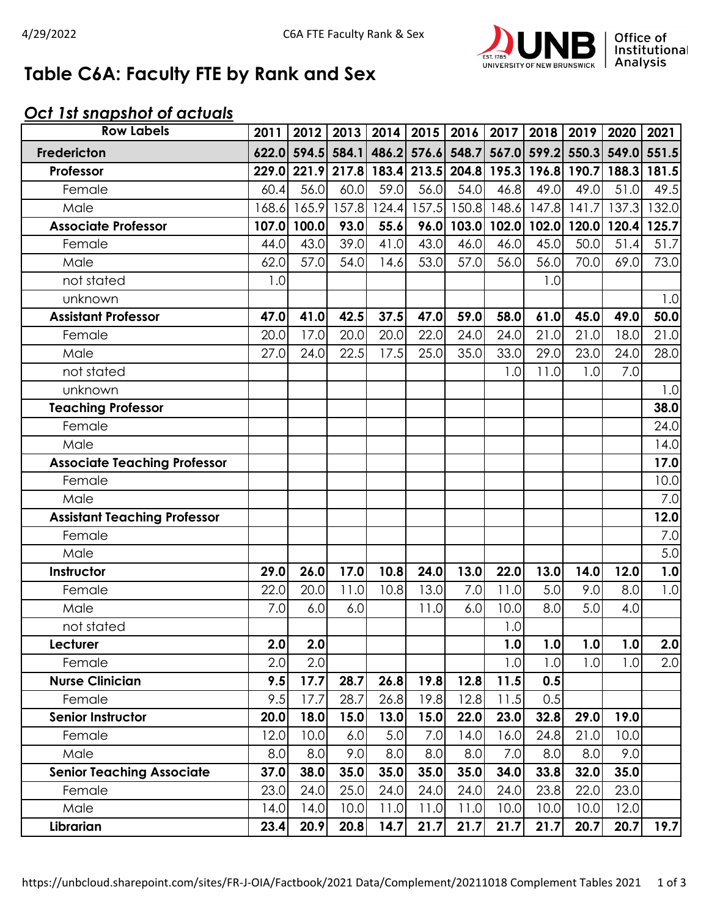

# **Table C6A: Faculty FTE by Rank and Sex**

### *Oct 1st snapshot of actuals*

| <b>Row Labels</b>                   | 2011  | 2012  | 2013  |       |       | 2014   2015   2016   2017 |       |       | 2018   2019   2020                                    |       | 2021  |
|-------------------------------------|-------|-------|-------|-------|-------|---------------------------|-------|-------|-------------------------------------------------------|-------|-------|
| Fredericton                         | 622.0 | 594.5 | 584.1 |       |       |                           |       |       | 486.2 576.6 548.7 567.0 599.2 550.3 549.0 551.5       |       |       |
| Professor                           |       |       |       |       |       |                           |       |       | 229.0 221.9 217.8 183.4 213.5 204.8 195.3 196.8 190.7 | 188.3 | 181.5 |
| Female                              | 60.4  | 56.0  | 60.0  | 59.0  | 56.0  | 54.0                      | 46.8  | 49.0  | 49.0                                                  | 51.0  | 49.5  |
| Male                                | 168.6 | 165.9 | 157.8 | 124.4 | 157.5 | 150.8                     | 148.6 | 147.8 | 141.7                                                 | 137.3 | 132.0 |
| <b>Associate Professor</b>          | 107.0 | 100.0 | 93.0  | 55.6  | 96.0  |                           |       |       | 103.0 102.0 102.0 120.0                               | 120.4 | 125.7 |
| Female                              | 44.0  | 43.0  | 39.0  | 41.0  | 43.0  | 46.0                      | 46.0  | 45.0  | 50.0                                                  | 51.4  | 51.7  |
| Male                                | 62.0  | 57.0  | 54.0  | 14.6  | 53.0  | 57.0                      | 56.0  | 56.0  | 70.0                                                  | 69.0  | 73.0  |
| not stated                          | 1.0   |       |       |       |       |                           |       | 1.0   |                                                       |       |       |
| unknown                             |       |       |       |       |       |                           |       |       |                                                       |       | 1.0   |
| <b>Assistant Professor</b>          | 47.0  | 41.0  | 42.5  | 37.5  | 47.0  | 59.0                      | 58.0  | 61.0  | 45.0                                                  | 49.0  | 50.0  |
| Female                              | 20.0  | 17.0  | 20.0  | 20.0  | 22.0  | 24.0                      | 24.0  | 21.0  | 21.0                                                  | 18.0  | 21.0  |
| Male                                | 27.0  | 24.0  | 22.5  | 17.5  | 25.0  | 35.0                      | 33.0  | 29.0  | 23.0                                                  | 24.0  | 28.0  |
| not stated                          |       |       |       |       |       |                           | 1.0   | 11.0  | 1.0                                                   | 7.0   |       |
| unknown                             |       |       |       |       |       |                           |       |       |                                                       |       | 1.0   |
| <b>Teaching Professor</b>           |       |       |       |       |       |                           |       |       |                                                       |       | 38.0  |
| Female                              |       |       |       |       |       |                           |       |       |                                                       |       | 24.0  |
| Male                                |       |       |       |       |       |                           |       |       |                                                       |       | 14.0  |
| <b>Associate Teaching Professor</b> |       |       |       |       |       |                           |       |       |                                                       |       | 17.0  |
| Female                              |       |       |       |       |       |                           |       |       |                                                       |       | 10.0  |
| Male                                |       |       |       |       |       |                           |       |       |                                                       |       | 7.0   |
| <b>Assistant Teaching Professor</b> |       |       |       |       |       |                           |       |       |                                                       |       | 12.0  |
| Female                              |       |       |       |       |       |                           |       |       |                                                       |       | 7.0   |
| Male                                |       |       |       |       |       |                           |       |       |                                                       |       | 5.0   |
| Instructor                          | 29.0  | 26.0  | 17.0  | 10.8  | 24.0  | 13.0                      | 22.0  | 13.0  | 14.0                                                  | 12.0  | 1.0   |
| Female                              | 22.0  | 20.0  | 11.0  | 10.8  | 13.0  | 7.0                       | 11.0  | 5.0   | 9.0                                                   | 8.0   | 1.0   |
| Male                                | 7.0   | 6.0   | 6.0   |       | 11.0  | 6.0                       | 10.0  | 8.0   | 5.0                                                   | 4.0   |       |
| not stated                          |       |       |       |       |       |                           | 1.0   |       |                                                       |       |       |
| Lecturer                            | 2.0   | 2.0   |       |       |       |                           | 1.0   | 1.0   | 1.0                                                   | 1.0   | 2.0   |
| Female                              | 2.0   | 2.0   |       |       |       |                           | 1.0   | 1.0   | 1.0                                                   | 1.0   | 2.0   |
| <b>Nurse Clinician</b>              | 9.5   | 17.7  | 28.7  | 26.8  | 19.8  | 12.8                      | 11.5  | 0.5   |                                                       |       |       |
| Female                              | 9.5   | 17.7  | 28.7  | 26.8  | 19.8  | 12.8                      | 11.5  | 0.5   |                                                       |       |       |
| <b>Senior Instructor</b>            | 20.0  | 18.0  | 15.0  | 13.0  | 15.0  | 22.0                      | 23.0  | 32.8  | 29.0                                                  | 19.0  |       |
| Female                              | 12.0  | 10.0  | 6.0   | 5.0   | 7.0   | 14.0                      | 16.0  | 24.8  | 21.0                                                  | 10.0  |       |
| Male                                | 8.0   | 8.0   | 9.0   | 8.0   | 8.0   | 8.0                       | 7.0   | 8.0   | 8.0                                                   | 9.0   |       |
| <b>Senior Teaching Associate</b>    | 37.0  | 38.0  | 35.0  | 35.0  | 35.0  | 35.0                      | 34.0  | 33.8  | 32.0                                                  | 35.0  |       |
| Female                              | 23.0  | 24.0  | 25.0  | 24.0  | 24.0  | 24.0                      | 24.0  | 23.8  | 22.0                                                  | 23.0  |       |
| Male                                | 14.0  | 14.0  | 10.0  | 11.0  | 11.0  | 11.0                      | 10.0  | 10.0  | 10.0                                                  | 12.0  |       |
| Librarian                           | 23.4  | 20.9  | 20.8  | 14.7  | 21.7  | 21.7                      | 21.7  | 21.7  | 20.7                                                  | 20.7  | 19.7  |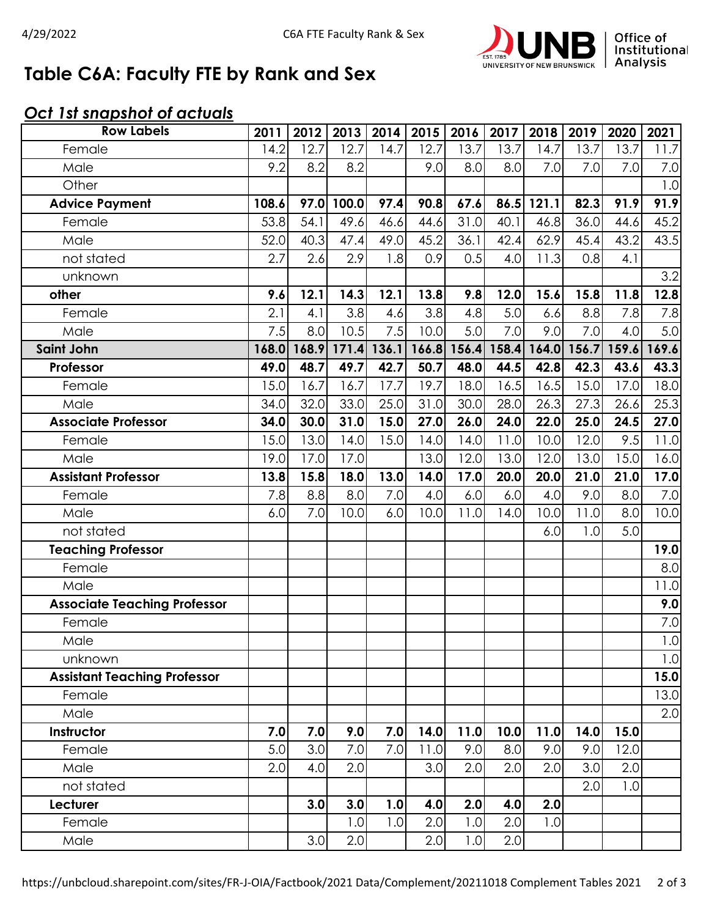

# **Table C6A: Faculty FTE by Rank and Sex**

### *Oct 1st snapshot of actuals*

| <b>Row Labels</b>                   | 2011  | 2012 | 2013              |      | 2014 2015 | 2016 | 2017              | 2018  | 2019  | 2020  | 2021    |
|-------------------------------------|-------|------|-------------------|------|-----------|------|-------------------|-------|-------|-------|---------|
| Female                              | 14.2  | 12.7 | 12.7              | 14.7 | 12.7      | 13.7 | 13.7              | 14.7  | 13.7  | 13.7  | 11.7    |
| Male                                | 9.2   | 8.2  | 8.2               |      | 9.0       | 8.0  | 8.0               | 7.0   | 7.0   | 7.0   | 7.0     |
| Other                               |       |      |                   |      |           |      |                   |       |       |       | 1.0     |
| <b>Advice Payment</b>               | 108.6 | 97.0 | 100.0             | 97.4 | 90.8      | 67.6 | 86.5              | 121.1 | 82.3  | 91.9  | 91.9    |
| Female                              | 53.8  | 54.1 | 49.6              | 46.6 | 44.6      | 31.0 | 40.1              | 46.8  | 36.0  | 44.6  | 45.2    |
| Male                                | 52.0  | 40.3 | 47.4              | 49.0 | 45.2      | 36.1 | 42.4              | 62.9  | 45.4  | 43.2  | 43.5    |
| not stated                          | 2.7   | 2.6  | 2.9               | 1.8  | 0.9       | 0.5  | 4.0               | 11.3  | 0.8   | 4.1   |         |
| unknown                             |       |      |                   |      |           |      |                   |       |       |       | 3.2     |
| other                               | 9.6   | 12.1 | 14.3              | 12.1 | 13.8      | 9.8  | 12.0              | 15.6  | 15.8  | 11.8  | 12.8    |
| Female                              | 2.1   | 4.1  | 3.8               | 4.6  | 3.8       | 4.8  | 5.0               | 6.6   | 8.8   | 7.8   | 7.8     |
| Male                                | 7.5   | 8.0  | 10.5              | 7.5  | 10.0      | 5.0  | 7.0               | 9.0   | 7.0   | 4.0   | 5.0     |
| Saint John                          | 168.0 |      | 168.9 171.4 136.1 |      | 166.8     |      | 156.4 158.4       | 164.0 | 156.7 | 159.6 | 169.6   |
| Professor                           | 49.0  | 48.7 | 49.7              | 42.7 | 50.7      | 48.0 | 44.5              | 42.8  | 42.3  | 43.6  | 43.3    |
| Female                              | 15.0  | 16.7 | 16.7              | 17.7 | 19.7      | 18.0 | 16.5              | 16.5  | 15.0  | 17.0  | 18.0    |
| Male                                | 34.0  | 32.0 | 33.0              | 25.0 | 31.0      | 30.0 | 28.0              | 26.3  | 27.3  | 26.6  | 25.3    |
| <b>Associate Professor</b>          | 34.0  | 30.0 | 31.0              | 15.0 | 27.0      | 26.0 | 24.0              | 22.0  | 25.0  | 24.5  | 27.0    |
| Female                              | 15.0  | 13.0 | 14.0              | 15.0 | 14.0      | 14.0 | $\overline{1}1.0$ | 10.0  | 12.0  | 9.5   | 11.0    |
| Male                                | 19.0  | 17.0 | 17.0              |      | 13.0      | 12.0 | 13.0              | 12.0  | 13.0  | 15.0  | 16.0    |
| <b>Assistant Professor</b>          | 13.8  | 15.8 | 18.0              | 13.0 | 14.0      | 17.0 | 20.0              | 20.0  | 21.0  | 21.0  | 17.0    |
| Female                              | 7.8   | 8.8  | 8.0               | 7.0  | 4.0       | 6.0  | 6.0               | 4.0   | 9.0   | 8.0   | 7.0     |
| Male                                | 6.0   | 7.0  | 10.0              | 6.0  | 10.0      | 11.0 | 14.0              | 10.0  | 11.0  | 8.0   | 10.0    |
| not stated                          |       |      |                   |      |           |      |                   | 6.0   | 1.0   | 5.0   |         |
| <b>Teaching Professor</b>           |       |      |                   |      |           |      |                   |       |       |       | 19.0    |
| Female                              |       |      |                   |      |           |      |                   |       |       |       | 8.0     |
| Male                                |       |      |                   |      |           |      |                   |       |       |       | 11.0    |
| <b>Associate Teaching Professor</b> |       |      |                   |      |           |      |                   |       |       |       | 9.0     |
| Female                              |       |      |                   |      |           |      |                   |       |       |       | 7.0     |
| Male                                |       |      |                   |      |           |      |                   |       |       |       | $1.0\,$ |
| unknown                             |       |      |                   |      |           |      |                   |       |       |       | 1.0     |
| <b>Assistant Teaching Professor</b> |       |      |                   |      |           |      |                   |       |       |       | 15.0    |
| Female                              |       |      |                   |      |           |      |                   |       |       |       | 13.0    |
| Male                                |       |      |                   |      |           |      |                   |       |       |       | 2.0     |
| Instructor                          | 7.0   | 7.0  | 9.0               | 7.0  | 14.0      | 11.0 | 10.0              | 11.0  | 14.0  | 15.0  |         |
| Female                              | 5.0   | 3.0  | 7.0               | 7.0  | 11.0      | 9.0  | 8.0               | 9.0   | 9.0   | 12.0  |         |
| Male                                | 2.0   | 4.0  | 2.0               |      | 3.0       | 2.0  | 2.0               | 2.0   | 3.0   | 2.0   |         |
| not stated                          |       |      |                   |      |           |      |                   |       | 2.0   | 1.0   |         |
| Lecturer                            |       | 3.0  | 3.0               | 1.0  | 4.0       | 2.0  | 4.0               | 2.0   |       |       |         |
| Female                              |       |      | 1.0               | 1.0  | 2.0       | 1.0  | 2.0               | 1.0   |       |       |         |
| Male                                |       | 3.0  | 2.0               |      | 2.0       | 1.0  | 2.0               |       |       |       |         |